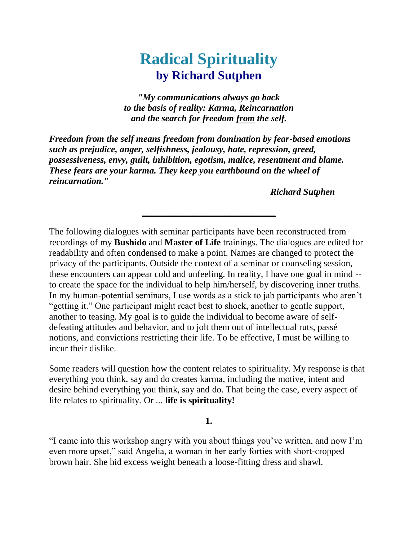# **Radical Spirituality by Richard Sutphen**

*"My communications always go back to the basis of reality: Karma, Reincarnation and the search for freedom from the self.*

*Freedom from the self means freedom from domination by fear-based emotions such as prejudice, anger, selfishness, jealousy, hate, repression, greed, possessiveness, envy, guilt, inhibition, egotism, malice, resentment and blame. These fears are your karma. They keep you earthbound on the wheel of reincarnation."*

*Richard Sutphen*

The following dialogues with seminar participants have been reconstructed from recordings of my **Bushido** and **Master of Life** trainings. The dialogues are edited for readability and often condensed to make a point. Names are changed to protect the privacy of the participants. Outside the context of a seminar or counseling session, these encounters can appear cold and unfeeling. In reality, I have one goal in mind - to create the space for the individual to help him/herself, by discovering inner truths. In my human-potential seminars, I use words as a stick to jab participants who aren't "getting it." One participant might react best to shock, another to gentle support, another to teasing. My goal is to guide the individual to become aware of selfdefeating attitudes and behavior, and to jolt them out of intellectual ruts, passé notions, and convictions restricting their life. To be effective, I must be willing to incur their dislike.

**\_\_\_\_\_\_\_\_\_\_\_\_\_\_\_\_\_\_\_\_\_\_\_\_\_\_\_\_\_**

Some readers will question how the content relates to spirituality. My response is that everything you think, say and do creates karma, including the motive, intent and desire behind everything you think, say and do. That being the case, every aspect of life relates to spirituality. Or ... **life is spirituality!**

#### **1.**

"I came into this workshop angry with you about things you've written, and now I'm even more upset," said Angelia, a woman in her early forties with short-cropped brown hair. She hid excess weight beneath a loose-fitting dress and shawl.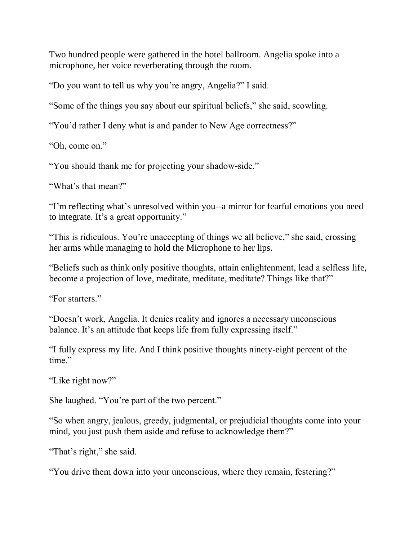Two hundred people were gathered in the hotel ballroom. Angelia spoke into a microphone, her voice reverberating through the room.

"Do you want to tell us why you're angry, Angelia?" I said.

"Some of the things you say about our spiritual beliefs," she said, scowling.

"You'd rather I deny what is and pander to New Age correctness?"

"Oh, come on."

"You should thank me for projecting your shadow-side."

"What's that mean?"

"I'm reflecting what's unresolved within you--a mirror for fearful emotions you need to integrate. It's a great opportunity."

"This is ridiculous. You're unaccepting of things we all believe," she said, crossing her arms while managing to hold the Microphone to her lips.

"Beliefs such as think only positive thoughts, attain enlightenment, lead a selfless life, become a projection of love, meditate, meditate, meditate? Things like that?"

"For starters."

"Doesn't work, Angelia. It denies reality and ignores a necessary unconscious balance. It's an attitude that keeps life from fully expressing itself."

"I fully express my life. And I think positive thoughts ninety-eight percent of the time."

"Like right now?"

She laughed. "You're part of the two percent."

"So when angry, jealous, greedy, judgmental, or prejudicial thoughts come into your mind, you just push them aside and refuse to acknowledge them?"

"That's right," she said.

"You drive them down into your unconscious, where they remain, festering?"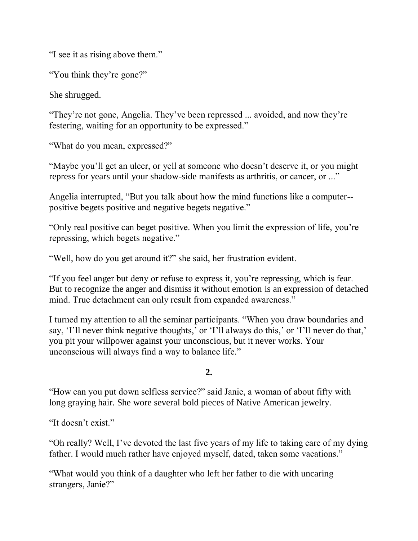"I see it as rising above them."

"You think they're gone?"

She shrugged.

"They're not gone, Angelia. They've been repressed ... avoided, and now they're festering, waiting for an opportunity to be expressed."

"What do you mean, expressed?"

"Maybe you'll get an ulcer, or yell at someone who doesn't deserve it, or you might repress for years until your shadow-side manifests as arthritis, or cancer, or ..."

Angelia interrupted, "But you talk about how the mind functions like a computer- positive begets positive and negative begets negative."

"Only real positive can beget positive. When you limit the expression of life, you're repressing, which begets negative."

"Well, how do you get around it?" she said, her frustration evident.

"If you feel anger but deny or refuse to express it, you're repressing, which is fear. But to recognize the anger and dismiss it without emotion is an expression of detached mind. True detachment can only result from expanded awareness."

I turned my attention to all the seminar participants. "When you draw boundaries and say, 'I'll never think negative thoughts,' or 'I'll always do this,' or 'I'll never do that,' you pit your willpower against your unconscious, but it never works. Your unconscious will always find a way to balance life."

**2.**

"How can you put down selfless service?" said Janie, a woman of about fifty with long graying hair. She wore several bold pieces of Native American jewelry.

"It doesn't exist."

"Oh really? Well, I've devoted the last five years of my life to taking care of my dying father. I would much rather have enjoyed myself, dated, taken some vacations."

"What would you think of a daughter who left her father to die with uncaring strangers, Janie?"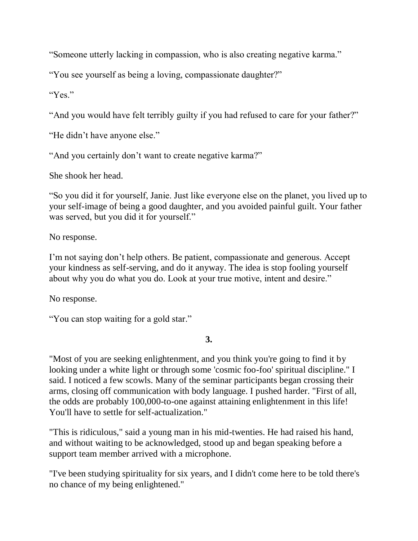"Someone utterly lacking in compassion, who is also creating negative karma."

"You see yourself as being a loving, compassionate daughter?"

"Yes."

"And you would have felt terribly guilty if you had refused to care for your father?"

"He didn't have anyone else."

"And you certainly don't want to create negative karma?"

She shook her head.

"So you did it for yourself, Janie. Just like everyone else on the planet, you lived up to your self-image of being a good daughter, and you avoided painful guilt. Your father was served, but you did it for yourself."

No response.

I'm not saying don't help others. Be patient, compassionate and generous. Accept your kindness as self-serving, and do it anyway. The idea is stop fooling yourself about why you do what you do. Look at your true motive, intent and desire."

No response.

"You can stop waiting for a gold star."

**3.** 

"Most of you are seeking enlightenment, and you think you're going to find it by looking under a white light or through some 'cosmic foo-foo' spiritual discipline." I said. I noticed a few scowls. Many of the seminar participants began crossing their arms, closing off communication with body language. I pushed harder. "First of all, the odds are probably 100,000-to-one against attaining enlightenment in this life! You'll have to settle for self-actualization."

"This is ridiculous," said a young man in his mid-twenties. He had raised his hand, and without waiting to be acknowledged, stood up and began speaking before a support team member arrived with a microphone.

"I've been studying spirituality for six years, and I didn't come here to be told there's no chance of my being enlightened."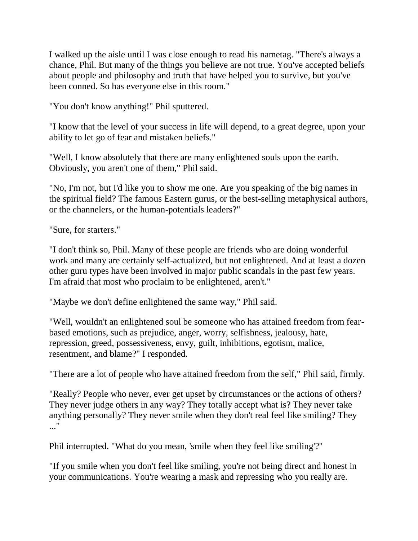I walked up the aisle until I was close enough to read his nametag. "There's always a chance, Phil. But many of the things you believe are not true. You've accepted beliefs about people and philosophy and truth that have helped you to survive, but you've been conned. So has everyone else in this room."

"You don't know anything!" Phil sputtered.

"I know that the level of your success in life will depend, to a great degree, upon your ability to let go of fear and mistaken beliefs."

"Well, I know absolutely that there are many enlightened souls upon the earth. Obviously, you aren't one of them," Phil said.

"No, I'm not, but I'd like you to show me one. Are you speaking of the big names in the spiritual field? The famous Eastern gurus, or the best-selling metaphysical authors, or the channelers, or the human-potentials leaders?"

"Sure, for starters."

"I don't think so, Phil. Many of these people are friends who are doing wonderful work and many are certainly self-actualized, but not enlightened. And at least a dozen other guru types have been involved in major public scandals in the past few years. I'm afraid that most who proclaim to be enlightened, aren't."

"Maybe we don't define enlightened the same way," Phil said.

"Well, wouldn't an enlightened soul be someone who has attained freedom from fearbased emotions, such as prejudice, anger, worry, selfishness, jealousy, hate, repression, greed, possessiveness, envy, guilt, inhibitions, egotism, malice, resentment, and blame?" I responded.

"There are a lot of people who have attained freedom from the self," Phil said, firmly.

"Really? People who never, ever get upset by circumstances or the actions of others? They never judge others in any way? They totally accept what is? They never take anything personally? They never smile when they don't real feel like smiling? They ..."

Phil interrupted. "What do you mean, 'smile when they feel like smiling'?"

"If you smile when you don't feel like smiling, you're not being direct and honest in your communications. You're wearing a mask and repressing who you really are.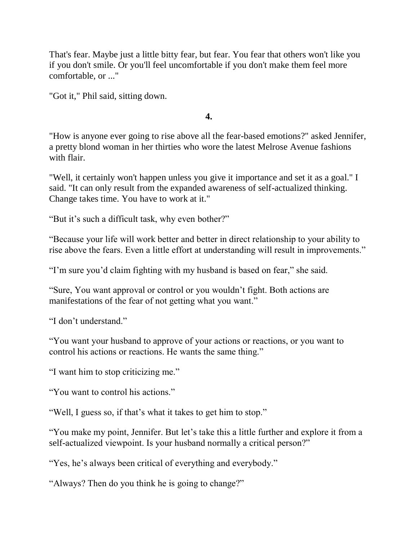That's fear. Maybe just a little bitty fear, but fear. You fear that others won't like you if you don't smile. Or you'll feel uncomfortable if you don't make them feel more comfortable, or ..."

"Got it," Phil said, sitting down.

**4.**

"How is anyone ever going to rise above all the fear-based emotions?" asked Jennifer, a pretty blond woman in her thirties who wore the latest Melrose Avenue fashions with flair.

"Well, it certainly won't happen unless you give it importance and set it as a goal." I said. "It can only result from the expanded awareness of self-actualized thinking. Change takes time. You have to work at it."

"But it's such a difficult task, why even bother?"

"Because your life will work better and better in direct relationship to your ability to rise above the fears. Even a little effort at understanding will result in improvements."

"I'm sure you'd claim fighting with my husband is based on fear," she said.

"Sure, You want approval or control or you wouldn't fight. Both actions are manifestations of the fear of not getting what you want."

"I don't understand."

"You want your husband to approve of your actions or reactions, or you want to control his actions or reactions. He wants the same thing."

"I want him to stop criticizing me."

"You want to control his actions."

"Well, I guess so, if that's what it takes to get him to stop."

"You make my point, Jennifer. But let's take this a little further and explore it from a self-actualized viewpoint. Is your husband normally a critical person?"

"Yes, he's always been critical of everything and everybody."

"Always? Then do you think he is going to change?"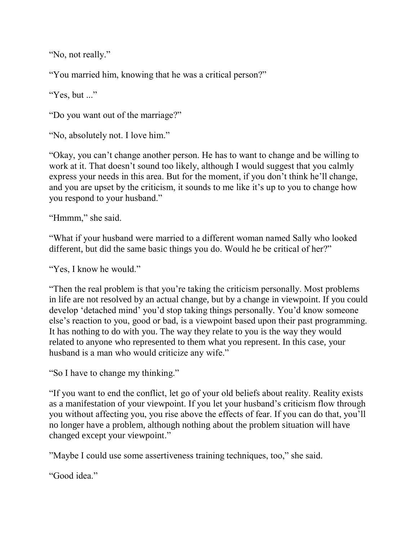"No, not really."

"You married him, knowing that he was a critical person?"

"Yes, but ..."

"Do you want out of the marriage?"

"No, absolutely not. I love him."

"Okay, you can't change another person. He has to want to change and be willing to work at it. That doesn't sound too likely, although I would suggest that you calmly express your needs in this area. But for the moment, if you don't think he'll change, and you are upset by the criticism, it sounds to me like it's up to you to change how you respond to your husband."

"Hmmm," she said.

"What if your husband were married to a different woman named Sally who looked different, but did the same basic things you do. Would he be critical of her?"

"Yes, I know he would."

"Then the real problem is that you're taking the criticism personally. Most problems in life are not resolved by an actual change, but by a change in viewpoint. If you could develop 'detached mind' you'd stop taking things personally. You'd know someone else's reaction to you, good or bad, is a viewpoint based upon their past programming. It has nothing to do with you. The way they relate to you is the way they would related to anyone who represented to them what you represent. In this case, your husband is a man who would criticize any wife."

"So I have to change my thinking."

"If you want to end the conflict, let go of your old beliefs about reality. Reality exists as a manifestation of your viewpoint. If you let your husband's criticism flow through you without affecting you, you rise above the effects of fear. If you can do that, you'll no longer have a problem, although nothing about the problem situation will have changed except your viewpoint."

"Maybe I could use some assertiveness training techniques, too," she said.

"Good idea."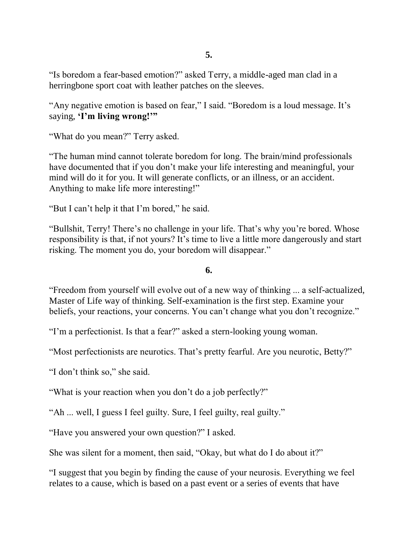"Is boredom a fear-based emotion?" asked Terry, a middle-aged man clad in a herringbone sport coat with leather patches on the sleeves.

"Any negative emotion is based on fear," I said. "Boredom is a loud message. It's saying, **'I'm living wrong!'"**

"What do you mean?" Terry asked.

"The human mind cannot tolerate boredom for long. The brain/mind professionals have documented that if you don't make your life interesting and meaningful, your mind will do it for you. It will generate conflicts, or an illness, or an accident. Anything to make life more interesting!"

"But I can't help it that I'm bored," he said.

"Bullshit, Terry! There's no challenge in your life. That's why you're bored. Whose responsibility is that, if not yours? It's time to live a little more dangerously and start risking. The moment you do, your boredom will disappear."

**6.**

"Freedom from yourself will evolve out of a new way of thinking ... a self-actualized, Master of Life way of thinking. Self-examination is the first step. Examine your beliefs, your reactions, your concerns. You can't change what you don't recognize."

"I'm a perfectionist. Is that a fear?" asked a stern-looking young woman.

"Most perfectionists are neurotics. That's pretty fearful. Are you neurotic, Betty?"

"I don't think so," she said.

"What is your reaction when you don't do a job perfectly?"

"Ah ... well, I guess I feel guilty. Sure, I feel guilty, real guilty."

"Have you answered your own question?" I asked.

She was silent for a moment, then said, "Okay, but what do I do about it?"

"I suggest that you begin by finding the cause of your neurosis. Everything we feel relates to a cause, which is based on a past event or a series of events that have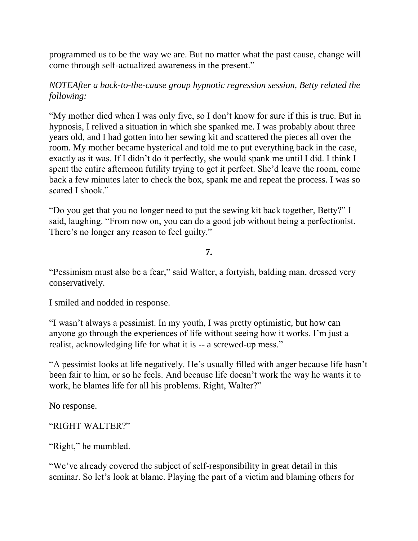programmed us to be the way we are. But no matter what the past cause, change will come through self-actualized awareness in the present."

## *NOTEAfter a back-to-the-cause group hypnotic regression session, Betty related the following:*

"My mother died when I was only five, so I don't know for sure if this is true. But in hypnosis, I relived a situation in which she spanked me. I was probably about three years old, and I had gotten into her sewing kit and scattered the pieces all over the room. My mother became hysterical and told me to put everything back in the case, exactly as it was. If I didn't do it perfectly, she would spank me until I did. I think I spent the entire afternoon futility trying to get it perfect. She'd leave the room, come back a few minutes later to check the box, spank me and repeat the process. I was so scared I shook."

"Do you get that you no longer need to put the sewing kit back together, Betty?" I said, laughing. "From now on, you can do a good job without being a perfectionist. There's no longer any reason to feel guilty."

### **7.**

"Pessimism must also be a fear," said Walter, a fortyish, balding man, dressed very conservatively.

I smiled and nodded in response.

"I wasn't always a pessimist. In my youth, I was pretty optimistic, but how can anyone go through the experiences of life without seeing how it works. I'm just a realist, acknowledging life for what it is -- a screwed-up mess."

"A pessimist looks at life negatively. He's usually filled with anger because life hasn't been fair to him, or so he feels. And because life doesn't work the way he wants it to work, he blames life for all his problems. Right, Walter?"

No response.

#### "RIGHT WALTER?"

"Right," he mumbled.

"We've already covered the subject of self-responsibility in great detail in this seminar. So let's look at blame. Playing the part of a victim and blaming others for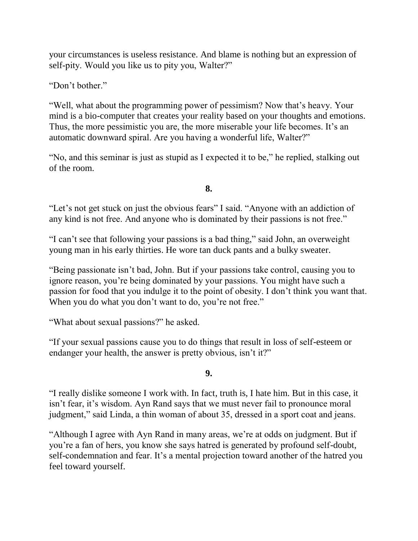your circumstances is useless resistance. And blame is nothing but an expression of self-pity. Would you like us to pity you, Walter?"

"Don't bother."

"Well, what about the programming power of pessimism? Now that's heavy. Your mind is a bio-computer that creates your reality based on your thoughts and emotions. Thus, the more pessimistic you are, the more miserable your life becomes. It's an automatic downward spiral. Are you having a wonderful life, Walter?"

"No, and this seminar is just as stupid as I expected it to be," he replied, stalking out of the room.

**8.**

"Let's not get stuck on just the obvious fears" I said. "Anyone with an addiction of any kind is not free. And anyone who is dominated by their passions is not free."

"I can't see that following your passions is a bad thing," said John, an overweight young man in his early thirties. He wore tan duck pants and a bulky sweater.

"Being passionate isn't bad, John. But if your passions take control, causing you to ignore reason, you're being dominated by your passions. You might have such a passion for food that you indulge it to the point of obesity. I don't think you want that. When you do what you don't want to do, you're not free."

"What about sexual passions?" he asked.

"If your sexual passions cause you to do things that result in loss of self-esteem or endanger your health, the answer is pretty obvious, isn't it?"

**9.**

"I really dislike someone I work with. In fact, truth is, I hate him. But in this case, it isn't fear, it's wisdom. Ayn Rand says that we must never fail to pronounce moral judgment," said Linda, a thin woman of about 35, dressed in a sport coat and jeans.

"Although I agree with Ayn Rand in many areas, we're at odds on judgment. But if you're a fan of hers, you know she says hatred is generated by profound self-doubt, self-condemnation and fear. It's a mental projection toward another of the hatred you feel toward yourself.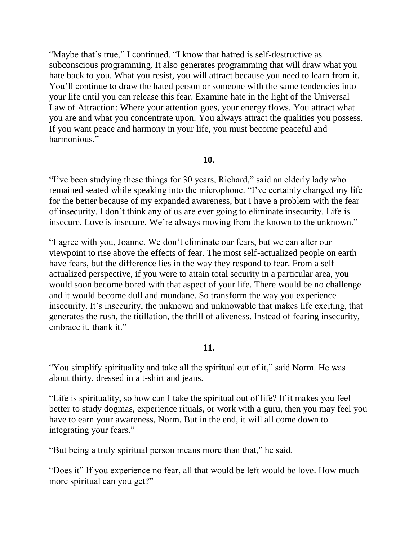"Maybe that's true," I continued. "I know that hatred is self-destructive as subconscious programming. It also generates programming that will draw what you hate back to you. What you resist, you will attract because you need to learn from it. You'll continue to draw the hated person or someone with the same tendencies into your life until you can release this fear. Examine hate in the light of the Universal Law of Attraction: Where your attention goes, your energy flows. You attract what you are and what you concentrate upon. You always attract the qualities you possess. If you want peace and harmony in your life, you must become peaceful and harmonious."

#### **10.**

"I've been studying these things for 30 years, Richard," said an elderly lady who remained seated while speaking into the microphone. "I've certainly changed my life for the better because of my expanded awareness, but I have a problem with the fear of insecurity. I don't think any of us are ever going to eliminate insecurity. Life is insecure. Love is insecure. We're always moving from the known to the unknown."

"I agree with you, Joanne. We don't eliminate our fears, but we can alter our viewpoint to rise above the effects of fear. The most self-actualized people on earth have fears, but the difference lies in the way they respond to fear. From a selfactualized perspective, if you were to attain total security in a particular area, you would soon become bored with that aspect of your life. There would be no challenge and it would become dull and mundane. So transform the way you experience insecurity. It's insecurity, the unknown and unknowable that makes life exciting, that generates the rush, the titillation, the thrill of aliveness. Instead of fearing insecurity, embrace it, thank it."

#### **11.**

"You simplify spirituality and take all the spiritual out of it," said Norm. He was about thirty, dressed in a t-shirt and jeans.

"Life is spirituality, so how can I take the spiritual out of life? If it makes you feel better to study dogmas, experience rituals, or work with a guru, then you may feel you have to earn your awareness, Norm. But in the end, it will all come down to integrating your fears."

"But being a truly spiritual person means more than that," he said.

"Does it" If you experience no fear, all that would be left would be love. How much more spiritual can you get?"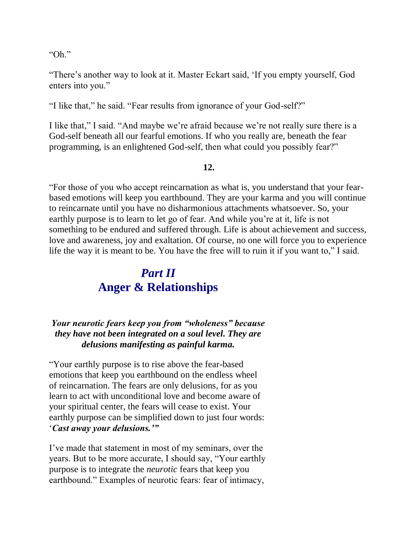"Oh"

"There's another way to look at it. Master Eckart said, 'If you empty yourself, God enters into you."

"I like that," he said. "Fear results from ignorance of your God-self?"

I like that," I said. "And maybe we're afraid because we're not really sure there is a God-self beneath all our fearful emotions. If who you really are, beneath the fear programming, is an enlightened God-self, then what could you possibly fear?"

#### **12.**

"For those of you who accept reincarnation as what is, you understand that your fearbased emotions will keep you earthbound. They are your karma and you will continue to reincarnate until you have no disharmonious attachments whatsoever. So, your earthly purpose is to learn to let go of fear. And while you're at it, life is not something to be endured and suffered through. Life is about achievement and success, love and awareness, joy and exaltation. Of course, no one will force you to experience life the way it is meant to be. You have the free will to ruin it if you want to," I said.

## *Part II* **Anger & Relationships**

## *Your neurotic fears keep you from "wholeness" because they have not been integrated on a soul level. They are delusions manifesting as painful karma.*

"Your earthly purpose is to rise above the fear-based emotions that keep you earthbound on the endless wheel of reincarnation. The fears are only delusions, for as you learn to act with unconditional love and become aware of your spiritual center, the fears will cease to exist. Your earthly purpose can be simplified down to just four words: '*Cast away your delusions.'"*

I've made that statement in most of my seminars, over the years. But to be more accurate, I should say, "Your earthly purpose is to integrate the *neurotic* fears that keep you earthbound." Examples of neurotic fears: fear of intimacy,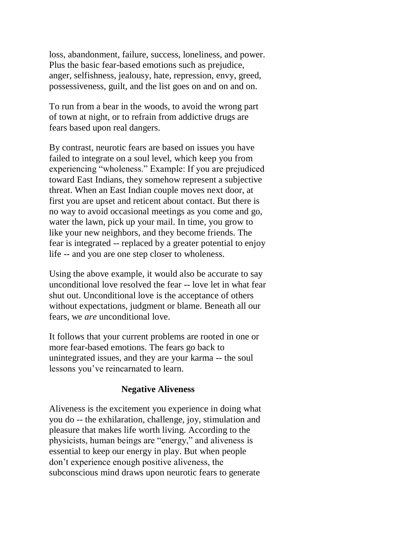loss, abandonment, failure, success, loneliness, and power. Plus the basic fear-based emotions such as prejudice, anger, selfishness, jealousy, hate, repression, envy, greed, possessiveness, guilt, and the list goes on and on and on.

To run from a bear in the woods, to avoid the wrong part of town at night, or to refrain from addictive drugs are fears based upon real dangers.

By contrast, neurotic fears are based on issues you have failed to integrate on a soul level, which keep you from experiencing "wholeness." Example: If you are prejudiced toward East Indians, they somehow represent a subjective threat. When an East Indian couple moves next door, at first you are upset and reticent about contact. But there is no way to avoid occasional meetings as you come and go, water the lawn, pick up your mail. In time, you grow to like your new neighbors, and they become friends. The fear is integrated -- replaced by a greater potential to enjoy life -- and you are one step closer to wholeness.

Using the above example, it would also be accurate to say unconditional love resolved the fear -- love let in what fear shut out. Unconditional love is the acceptance of others without expectations, judgment or blame. Beneath all our fears, we *are* unconditional love.

It follows that your current problems are rooted in one or more fear-based emotions. The fears go back to unintegrated issues, and they are your karma -- the soul lessons you've reincarnated to learn.

#### **Negative Aliveness**

Aliveness is the excitement you experience in doing what you do -- the exhilaration, challenge, joy, stimulation and pleasure that makes life worth living. According to the physicists, human beings are "energy," and aliveness is essential to keep our energy in play. But when people don't experience enough positive aliveness, the subconscious mind draws upon neurotic fears to generate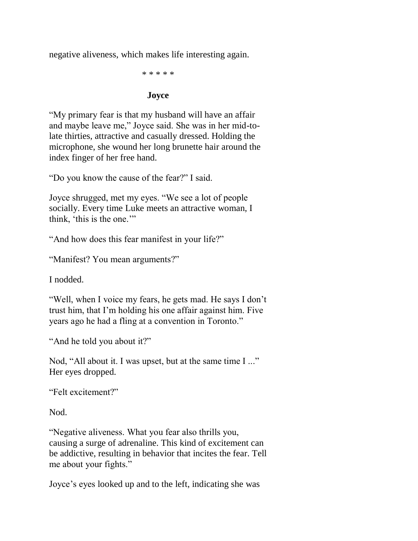negative aliveness, which makes life interesting again.

\* \* \* \* \*

#### **Joyce**

"My primary fear is that my husband will have an affair and maybe leave me," Joyce said. She was in her mid-tolate thirties, attractive and casually dressed. Holding the microphone, she wound her long brunette hair around the index finger of her free hand.

"Do you know the cause of the fear?" I said.

Joyce shrugged, met my eyes. "We see a lot of people socially. Every time Luke meets an attractive woman, I think, 'this is the one.'"

"And how does this fear manifest in your life?"

"Manifest? You mean arguments?"

I nodded.

"Well, when I voice my fears, he gets mad. He says I don't trust him, that I'm holding his one affair against him. Five years ago he had a fling at a convention in Toronto."

"And he told you about it?"

Nod, "All about it. I was upset, but at the same time I ..." Her eyes dropped.

"Felt excitement?"

Nod.

"Negative aliveness. What you fear also thrills you, causing a surge of adrenaline. This kind of excitement can be addictive, resulting in behavior that incites the fear. Tell me about your fights."

Joyce's eyes looked up and to the left, indicating she was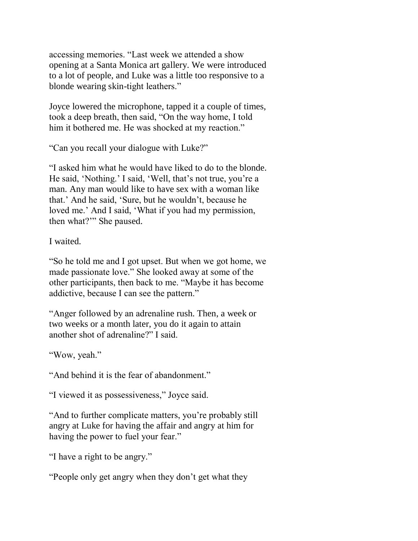accessing memories. "Last week we attended a show opening at a Santa Monica art gallery. We were introduced to a lot of people, and Luke was a little too responsive to a blonde wearing skin-tight leathers."

Joyce lowered the microphone, tapped it a couple of times, took a deep breath, then said, "On the way home, I told him it bothered me. He was shocked at my reaction."

"Can you recall your dialogue with Luke?"

"I asked him what he would have liked to do to the blonde. He said, 'Nothing.' I said, 'Well, that's not true, you're a man. Any man would like to have sex with a woman like that.' And he said, 'Sure, but he wouldn't, because he loved me.' And I said, 'What if you had my permission, then what?'" She paused.

I waited.

"So he told me and I got upset. But when we got home, we made passionate love." She looked away at some of the other participants, then back to me. "Maybe it has become addictive, because I can see the pattern."

"Anger followed by an adrenaline rush. Then, a week or two weeks or a month later, you do it again to attain another shot of adrenaline?" I said.

"Wow, yeah."

"And behind it is the fear of abandonment."

"I viewed it as possessiveness," Joyce said.

"And to further complicate matters, you're probably still angry at Luke for having the affair and angry at him for having the power to fuel your fear."

"I have a right to be angry."

"People only get angry when they don't get what they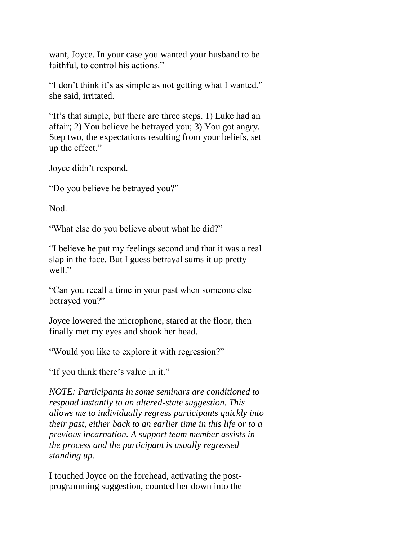want, Joyce. In your case you wanted your husband to be faithful, to control his actions."

"I don't think it's as simple as not getting what I wanted," she said, irritated.

"It's that simple, but there are three steps. 1) Luke had an affair; 2) You believe he betrayed you; 3) You got angry. Step two, the expectations resulting from your beliefs, set up the effect."

Joyce didn't respond.

"Do you believe he betrayed you?"

Nod.

"What else do you believe about what he did?"

"I believe he put my feelings second and that it was a real slap in the face. But I guess betrayal sums it up pretty well."

"Can you recall a time in your past when someone else betrayed you?"

Joyce lowered the microphone, stared at the floor, then finally met my eyes and shook her head.

"Would you like to explore it with regression?"

"If you think there's value in it."

*NOTE: Participants in some seminars are conditioned to respond instantly to an altered-state suggestion. This allows me to individually regress participants quickly into their past, either back to an earlier time in this life or to a previous incarnation. A support team member assists in the process and the participant is usually regressed standing up.* 

I touched Joyce on the forehead, activating the postprogramming suggestion, counted her down into the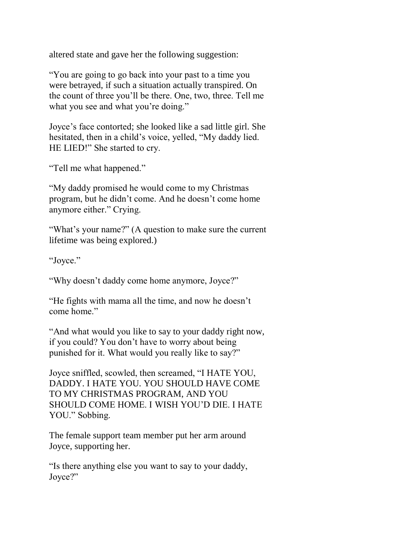altered state and gave her the following suggestion:

"You are going to go back into your past to a time you were betrayed, if such a situation actually transpired. On the count of three you'll be there. One, two, three. Tell me what you see and what you're doing."

Joyce's face contorted; she looked like a sad little girl. She hesitated, then in a child's voice, yelled, "My daddy lied. HE LIED!" She started to cry.

"Tell me what happened."

"My daddy promised he would come to my Christmas program, but he didn't come. And he doesn't come home anymore either." Crying.

"What's your name?" (A question to make sure the current lifetime was being explored.)

"Joyce."

"Why doesn't daddy come home anymore, Joyce?"

"He fights with mama all the time, and now he doesn't come home."

"And what would you like to say to your daddy right now, if you could? You don't have to worry about being punished for it. What would you really like to say?"

Joyce sniffled, scowled, then screamed, "I HATE YOU, DADDY. I HATE YOU. YOU SHOULD HAVE COME TO MY CHRISTMAS PROGRAM, AND YOU SHOULD COME HOME. I WISH YOU'D DIE. I HATE YOU." Sobbing.

The female support team member put her arm around Joyce, supporting her.

"Is there anything else you want to say to your daddy, Joyce?"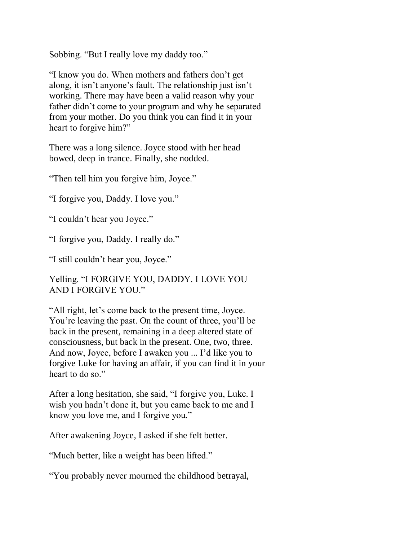Sobbing. "But I really love my daddy too."

"I know you do. When mothers and fathers don't get along, it isn't anyone's fault. The relationship just isn't working. There may have been a valid reason why your father didn't come to your program and why he separated from your mother. Do you think you can find it in your heart to forgive him?"

There was a long silence. Joyce stood with her head bowed, deep in trance. Finally, she nodded.

"Then tell him you forgive him, Joyce."

"I forgive you, Daddy. I love you."

"I couldn't hear you Joyce."

"I forgive you, Daddy. I really do."

"I still couldn't hear you, Joyce."

Yelling. "I FORGIVE YOU, DADDY. I LOVE YOU AND I FORGIVE YOU."

"All right, let's come back to the present time, Joyce. You're leaving the past. On the count of three, you'll be back in the present, remaining in a deep altered state of consciousness, but back in the present. One, two, three. And now, Joyce, before I awaken you ... I'd like you to forgive Luke for having an affair, if you can find it in your heart to do so."

After a long hesitation, she said, "I forgive you, Luke. I wish you hadn't done it, but you came back to me and I know you love me, and I forgive you."

After awakening Joyce, I asked if she felt better.

"Much better, like a weight has been lifted."

"You probably never mourned the childhood betrayal,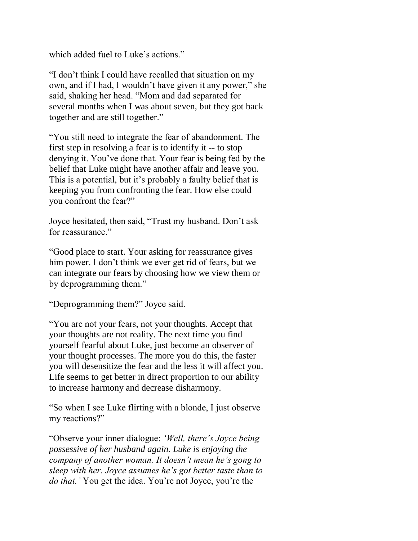which added fuel to Luke's actions."

"I don't think I could have recalled that situation on my own, and if I had, I wouldn't have given it any power," she said, shaking her head. "Mom and dad separated for several months when I was about seven, but they got back together and are still together."

"You still need to integrate the fear of abandonment. The first step in resolving a fear is to identify it -- to stop denying it. You've done that. Your fear is being fed by the belief that Luke might have another affair and leave you. This is a potential, but it's probably a faulty belief that is keeping you from confronting the fear. How else could you confront the fear?"

Joyce hesitated, then said, "Trust my husband. Don't ask for reassurance."

"Good place to start. Your asking for reassurance gives him power. I don't think we ever get rid of fears, but we can integrate our fears by choosing how we view them or by deprogramming them."

"Deprogramming them?" Joyce said.

"You are not your fears, not your thoughts. Accept that your thoughts are not reality. The next time you find yourself fearful about Luke, just become an observer of your thought processes. The more you do this, the faster you will desensitize the fear and the less it will affect you. Life seems to get better in direct proportion to our ability to increase harmony and decrease disharmony.

"So when I see Luke flirting with a blonde, I just observe my reactions?"

"Observe your inner dialogue: *'Well, there's Joyce being possessive of her husband again. Luke is enjoying the company of another woman. It doesn't mean he's gong to sleep with her. Joyce assumes he's got better taste than to do that.'* You get the idea. You're not Joyce, you're the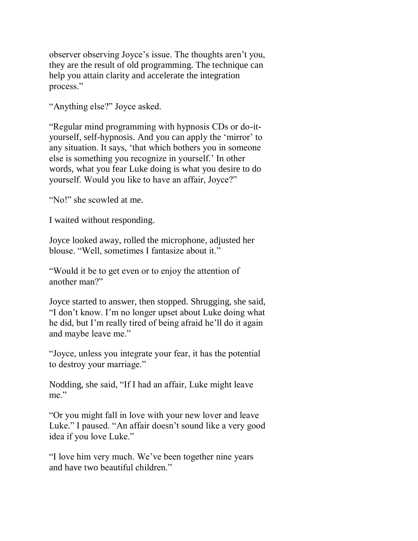observer observing Joyce's issue. The thoughts aren't you, they are the result of old programming. The technique can help you attain clarity and accelerate the integration process."

"Anything else?" Joyce asked.

"Regular mind programming with hypnosis CDs or do-ityourself, self-hypnosis. And you can apply the 'mirror' to any situation. It says, 'that which bothers you in someone else is something you recognize in yourself.' In other words, what you fear Luke doing is what you desire to do yourself. Would you like to have an affair, Joyce?"

"No!" she scowled at me.

I waited without responding.

Joyce looked away, rolled the microphone, adjusted her blouse. "Well, sometimes I fantasize about it."

"Would it be to get even or to enjoy the attention of another man?"

Joyce started to answer, then stopped. Shrugging, she said, "I don't know. I'm no longer upset about Luke doing what he did, but I'm really tired of being afraid he'll do it again and maybe leave me."

"Joyce, unless you integrate your fear, it has the potential to destroy your marriage."

Nodding, she said, "If I had an affair, Luke might leave me."

"Or you might fall in love with your new lover and leave Luke." I paused. "An affair doesn't sound like a very good idea if you love Luke."

"I love him very much. We've been together nine years and have two beautiful children."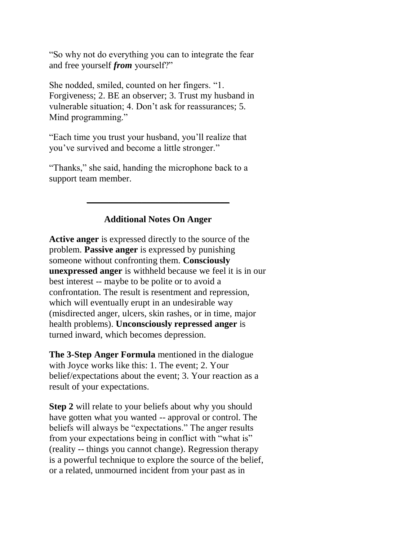"So why not do everything you can to integrate the fear and free yourself *from* yourself?"

She nodded, smiled, counted on her fingers. "1. Forgiveness; 2. BE an observer; 3. Trust my husband in vulnerable situation; 4. Don't ask for reassurances; 5. Mind programming."

"Each time you trust your husband, you'll realize that you've survived and become a little stronger."

"Thanks," she said, handing the microphone back to a support team member.

## **Additional Notes On Anger**

\_\_\_\_\_\_\_\_\_\_\_\_\_\_\_\_\_\_\_\_\_\_\_\_\_\_\_\_\_\_\_

**Active anger** is expressed directly to the source of the problem. **Passive anger** is expressed by punishing someone without confronting them. **Consciously unexpressed anger** is withheld because we feel it is in our best interest -- maybe to be polite or to avoid a confrontation. The result is resentment and repression, which will eventually erupt in an undesirable way (misdirected anger, ulcers, skin rashes, or in time, major health problems). **Unconsciously repressed anger** is turned inward, which becomes depression.

**The 3-Step Anger Formula** mentioned in the dialogue with Joyce works like this: 1. The event; 2. Your belief/expectations about the event; 3. Your reaction as a result of your expectations.

**Step 2** will relate to your beliefs about why you should have gotten what you wanted -- approval or control. The beliefs will always be "expectations." The anger results from your expectations being in conflict with "what is" (reality -- things you cannot change). Regression therapy is a powerful technique to explore the source of the belief, or a related, unmourned incident from your past as in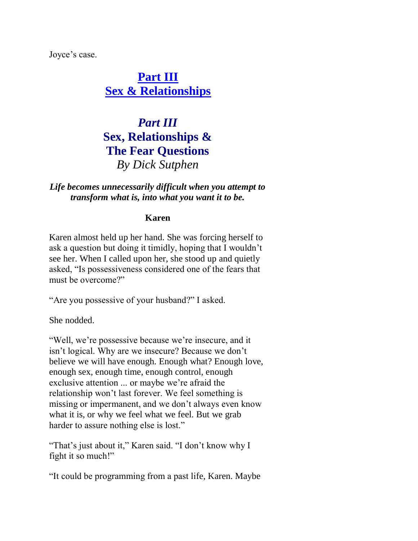Joyce's case.

**[Part III](http://www.dicksutphen.com/html/freedomfromyourself3.html) [Sex & Relationships](http://www.dicksutphen.com/html/freedomfromyourself3.html)**

## *Part III* **Sex, Relationships & The Fear Questions** *By Dick Sutphen*

### *Life becomes unnecessarily difficult when you attempt to transform what is, into what you want it to be.*

### **Karen**

Karen almost held up her hand. She was forcing herself to ask a question but doing it timidly, hoping that I wouldn't see her. When I called upon her, she stood up and quietly asked, "Is possessiveness considered one of the fears that must be overcome?"

"Are you possessive of your husband?" I asked.

She nodded.

"Well, we're possessive because we're insecure, and it isn't logical. Why are we insecure? Because we don't believe we will have enough. Enough what? Enough love, enough sex, enough time, enough control, enough exclusive attention ... or maybe we're afraid the relationship won't last forever. We feel something is missing or impermanent, and we don't always even know what it is, or why we feel what we feel. But we grab harder to assure nothing else is lost."

"That's just about it," Karen said. "I don't know why I fight it so much!"

"It could be programming from a past life, Karen. Maybe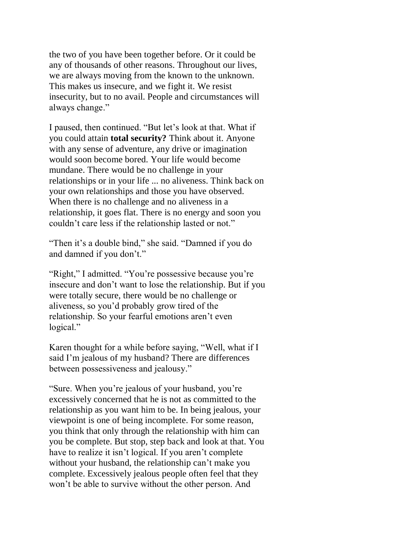the two of you have been together before. Or it could be any of thousands of other reasons. Throughout our lives, we are always moving from the known to the unknown. This makes us insecure, and we fight it. We resist insecurity, but to no avail. People and circumstances will always change."

I paused, then continued. "But let's look at that. What if you could attain **total security?** Think about it. Anyone with any sense of adventure, any drive or imagination would soon become bored. Your life would become mundane. There would be no challenge in your relationships or in your life ... no aliveness. Think back on your own relationships and those you have observed. When there is no challenge and no aliveness in a relationship, it goes flat. There is no energy and soon you couldn't care less if the relationship lasted or not."

"Then it's a double bind," she said. "Damned if you do and damned if you don't."

"Right," I admitted. "You're possessive because you're insecure and don't want to lose the relationship. But if you were totally secure, there would be no challenge or aliveness, so you'd probably grow tired of the relationship. So your fearful emotions aren't even logical."

Karen thought for a while before saying, "Well, what if I said I'm jealous of my husband? There are differences between possessiveness and jealousy."

"Sure. When you're jealous of your husband, you're excessively concerned that he is not as committed to the relationship as you want him to be. In being jealous, your viewpoint is one of being incomplete. For some reason, you think that only through the relationship with him can you be complete. But stop, step back and look at that. You have to realize it isn't logical. If you aren't complete without your husband, the relationship can't make you complete. Excessively jealous people often feel that they won't be able to survive without the other person. And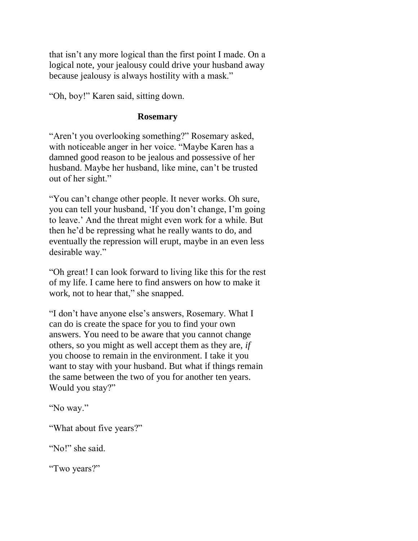that isn't any more logical than the first point I made. On a logical note, your jealousy could drive your husband away because jealousy is always hostility with a mask."

"Oh, boy!" Karen said, sitting down.

#### **Rosemary**

"Aren't you overlooking something?" Rosemary asked, with noticeable anger in her voice. "Maybe Karen has a damned good reason to be jealous and possessive of her husband. Maybe her husband, like mine, can't be trusted out of her sight."

"You can't change other people. It never works. Oh sure, you can tell your husband, 'If you don't change, I'm going to leave.' And the threat might even work for a while. But then he'd be repressing what he really wants to do, and eventually the repression will erupt, maybe in an even less desirable way."

"Oh great! I can look forward to living like this for the rest of my life. I came here to find answers on how to make it work, not to hear that," she snapped.

"I don't have anyone else's answers, Rosemary. What I can do is create the space for you to find your own answers. You need to be aware that you cannot change others, so you might as well accept them as they are, *if*  you choose to remain in the environment. I take it you want to stay with your husband. But what if things remain the same between the two of you for another ten years. Would you stay?"

"No way."

"What about five years?"

"No!" she said.

"Two years?"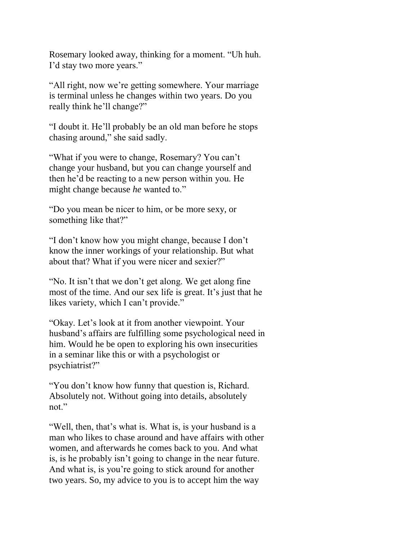Rosemary looked away, thinking for a moment. "Uh huh. I'd stay two more years."

"All right, now we're getting somewhere. Your marriage is terminal unless he changes within two years. Do you really think he'll change?"

"I doubt it. He'll probably be an old man before he stops chasing around," she said sadly.

"What if you were to change, Rosemary? You can't change your husband, but you can change yourself and then he'd be reacting to a new person within you. He might change because *he* wanted to."

"Do you mean be nicer to him, or be more sexy, or something like that?"

"I don't know how you might change, because I don't know the inner workings of your relationship. But what about that? What if you were nicer and sexier?"

"No. It isn't that we don't get along. We get along fine most of the time. And our sex life is great. It's just that he likes variety, which I can't provide."

"Okay. Let's look at it from another viewpoint. Your husband's affairs are fulfilling some psychological need in him. Would he be open to exploring his own insecurities in a seminar like this or with a psychologist or psychiatrist?"

"You don't know how funny that question is, Richard. Absolutely not. Without going into details, absolutely not."

"Well, then, that's what is. What is, is your husband is a man who likes to chase around and have affairs with other women, and afterwards he comes back to you. And what is, is he probably isn't going to change in the near future. And what is, is you're going to stick around for another two years. So, my advice to you is to accept him the way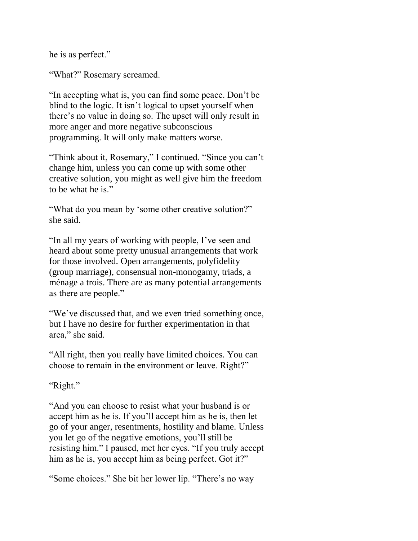he is as perfect."

"What?" Rosemary screamed.

"In accepting what is, you can find some peace. Don't be blind to the logic. It isn't logical to upset yourself when there's no value in doing so. The upset will only result in more anger and more negative subconscious programming. It will only make matters worse.

"Think about it, Rosemary," I continued. "Since you can't change him, unless you can come up with some other creative solution, you might as well give him the freedom to be what he is."

"What do you mean by 'some other creative solution?" she said.

"In all my years of working with people, I've seen and heard about some pretty unusual arrangements that work for those involved. Open arrangements, polyfidelity (group marriage), consensual non-monogamy, triads, a ménage a trois. There are as many potential arrangements as there are people."

"We've discussed that, and we even tried something once, but I have no desire for further experimentation in that area," she said.

"All right, then you really have limited choices. You can choose to remain in the environment or leave. Right?"

"Right."

"And you can choose to resist what your husband is or accept him as he is. If you'll accept him as he is, then let go of your anger, resentments, hostility and blame. Unless you let go of the negative emotions, you'll still be resisting him." I paused, met her eyes. "If you truly accept him as he is, you accept him as being perfect. Got it?"

"Some choices." She bit her lower lip. "There's no way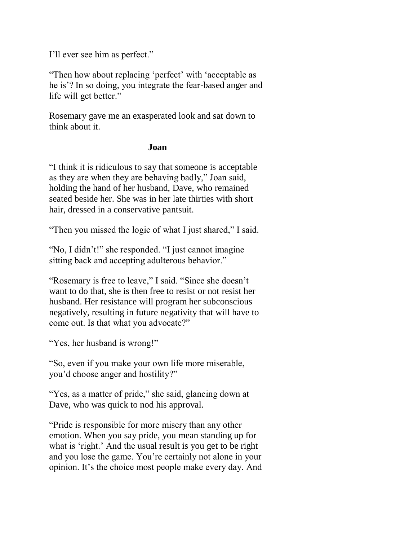I'll ever see him as perfect."

"Then how about replacing 'perfect' with 'acceptable as he is'? In so doing, you integrate the fear-based anger and life will get better."

Rosemary gave me an exasperated look and sat down to think about it.

#### **Joan**

"I think it is ridiculous to say that someone is acceptable as they are when they are behaving badly," Joan said, holding the hand of her husband, Dave, who remained seated beside her. She was in her late thirties with short hair, dressed in a conservative pantsuit.

"Then you missed the logic of what I just shared," I said.

"No, I didn't!" she responded. "I just cannot imagine sitting back and accepting adulterous behavior."

"Rosemary is free to leave," I said. "Since she doesn't want to do that, she is then free to resist or not resist her husband. Her resistance will program her subconscious negatively, resulting in future negativity that will have to come out. Is that what you advocate?"

"Yes, her husband is wrong!"

"So, even if you make your own life more miserable, you'd choose anger and hostility?"

"Yes, as a matter of pride," she said, glancing down at Dave, who was quick to nod his approval.

"Pride is responsible for more misery than any other emotion. When you say pride, you mean standing up for what is 'right.' And the usual result is you get to be right and you lose the game. You're certainly not alone in your opinion. It's the choice most people make every day. And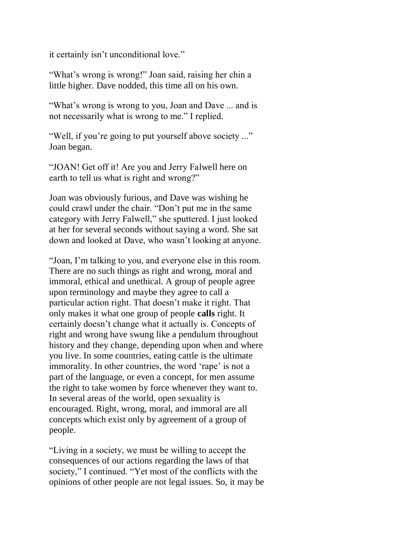it certainly isn't unconditional love."

"What's wrong is wrong!" Joan said, raising her chin a little higher. Dave nodded, this time all on his own.

"What's wrong is wrong to you, Joan and Dave ... and is not necessarily what is wrong to me." I replied.

"Well, if you're going to put yourself above society ..." Joan began.

"JOAN! Get off it! Are you and Jerry Falwell here on earth to tell us what is right and wrong?"

Joan was obviously furious, and Dave was wishing he could crawl under the chair. "Don't put me in the same category with Jerry Falwell," she sputtered. I just looked at her for several seconds without saying a word. She sat down and looked at Dave, who wasn't looking at anyone.

"Joan, I'm talking to you, and everyone else in this room. There are no such things as right and wrong, moral and immoral, ethical and unethical. A group of people agree upon terminology and maybe they agree to call a particular action right. That doesn't make it right. That only makes it what one group of people **calls** right. It certainly doesn't change what it actually is. Concepts of right and wrong have swung like a pendulum throughout history and they change, depending upon when and where you live. In some countries, eating cattle is the ultimate immorality. In other countries, the word 'rape' is not a part of the language, or even a concept, for men assume the right to take women by force whenever they want to. In several areas of the world, open sexuality is encouraged. Right, wrong, moral, and immoral are all concepts which exist only by agreement of a group of people.

"Living in a society, we must be willing to accept the consequences of our actions regarding the laws of that society," I continued. "Yet most of the conflicts with the opinions of other people are not legal issues. So, it may be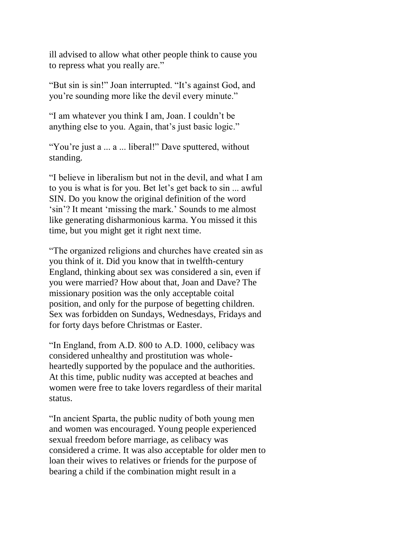ill advised to allow what other people think to cause you to repress what you really are."

"But sin is sin!" Joan interrupted. "It's against God, and you're sounding more like the devil every minute."

"I am whatever you think I am, Joan. I couldn't be anything else to you. Again, that's just basic logic."

"You're just a ... a ... liberal!" Dave sputtered, without standing.

"I believe in liberalism but not in the devil, and what I am to you is what is for you. Bet let's get back to sin ... awful SIN. Do you know the original definition of the word 'sin'? It meant 'missing the mark.' Sounds to me almost like generating disharmonious karma. You missed it this time, but you might get it right next time.

"The organized religions and churches have created sin as you think of it. Did you know that in twelfth-century England, thinking about sex was considered a sin, even if you were married? How about that, Joan and Dave? The missionary position was the only acceptable coital position, and only for the purpose of begetting children. Sex was forbidden on Sundays, Wednesdays, Fridays and for forty days before Christmas or Easter.

"In England, from A.D. 800 to A.D. 1000, celibacy was considered unhealthy and prostitution was wholeheartedly supported by the populace and the authorities. At this time, public nudity was accepted at beaches and women were free to take lovers regardless of their marital status.

"In ancient Sparta, the public nudity of both young men and women was encouraged. Young people experienced sexual freedom before marriage, as celibacy was considered a crime. It was also acceptable for older men to loan their wives to relatives or friends for the purpose of bearing a child if the combination might result in a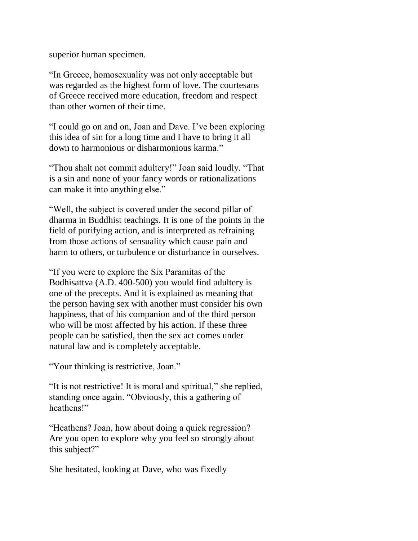superior human specimen.

"In Greece, homosexuality was not only acceptable but was regarded as the highest form of love. The courtesans of Greece received more education, freedom and respect than other women of their time.

"I could go on and on, Joan and Dave. I've been exploring this idea of sin for a long time and I have to bring it all down to harmonious or disharmonious karma."

"Thou shalt not commit adultery!" Joan said loudly. "That is a sin and none of your fancy words or rationalizations can make it into anything else."

"Well, the subject is covered under the second pillar of dharma in Buddhist teachings. It is one of the points in the field of purifying action, and is interpreted as refraining from those actions of sensuality which cause pain and harm to others, or turbulence or disturbance in ourselves.

"If you were to explore the Six Paramitas of the Bodhisattva (A.D. 400-500) you would find adultery is one of the precepts. And it is explained as meaning that the person having sex with another must consider his own happiness, that of his companion and of the third person who will be most affected by his action. If these three people can be satisfied, then the sex act comes under natural law and is completely acceptable.

"Your thinking is restrictive, Joan."

"It is not restrictive! It is moral and spiritual," she replied, standing once again. "Obviously, this a gathering of heathens!"

"Heathens? Joan, how about doing a quick regression? Are you open to explore why you feel so strongly about this subject?"

She hesitated, looking at Dave, who was fixedly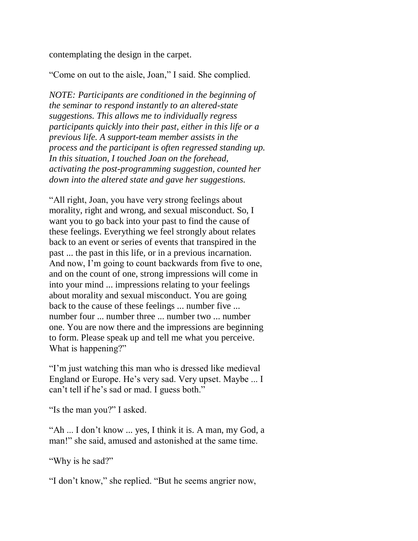contemplating the design in the carpet.

"Come on out to the aisle, Joan," I said. She complied.

*NOTE: Participants are conditioned in the beginning of the seminar to respond instantly to an altered-state suggestions. This allows me to individually regress participants quickly into their past, either in this life or a previous life. A support-team member assists in the process and the participant is often regressed standing up. In this situation, I touched Joan on the forehead, activating the post-programming suggestion, counted her down into the altered state and gave her suggestions.*

"All right, Joan, you have very strong feelings about morality, right and wrong, and sexual misconduct. So, I want you to go back into your past to find the cause of these feelings. Everything we feel strongly about relates back to an event or series of events that transpired in the past ... the past in this life, or in a previous incarnation. And now, I'm going to count backwards from five to one, and on the count of one, strong impressions will come in into your mind ... impressions relating to your feelings about morality and sexual misconduct. You are going back to the cause of these feelings ... number five ... number four ... number three ... number two ... number one. You are now there and the impressions are beginning to form. Please speak up and tell me what you perceive. What is happening?"

"I'm just watching this man who is dressed like medieval England or Europe. He's very sad. Very upset. Maybe ... I can't tell if he's sad or mad. I guess both."

"Is the man you?" I asked.

"Ah ... I don't know ... yes, I think it is. A man, my God, a man!" she said, amused and astonished at the same time.

"Why is he sad?"

"I don't know," she replied. "But he seems angrier now,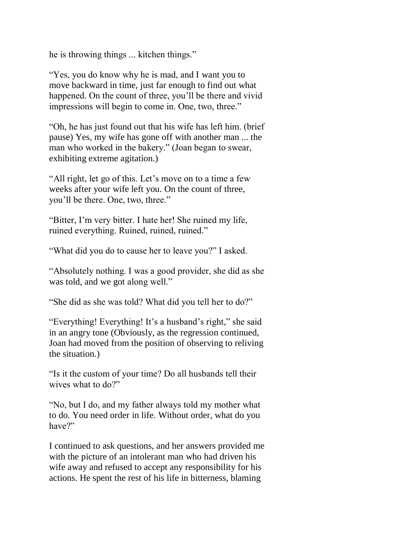he is throwing things ... kitchen things."

"Yes, you do know why he is mad, and I want you to move backward in time, just far enough to find out what happened. On the count of three, you'll be there and vivid impressions will begin to come in. One, two, three."

"Oh, he has just found out that his wife has left him. (brief pause) Yes, my wife has gone off with another man ... the man who worked in the bakery." (Joan began to swear, exhibiting extreme agitation.)

"All right, let go of this. Let's move on to a time a few weeks after your wife left you. On the count of three, you'll be there. One, two, three."

"Bitter, I'm very bitter. I hate her! She ruined my life, ruined everything. Ruined, ruined, ruined."

"What did you do to cause her to leave you?" I asked.

"Absolutely nothing. I was a good provider, she did as she was told, and we got along well."

"She did as she was told? What did you tell her to do?"

"Everything! Everything! It's a husband's right," she said in an angry tone (Obviously, as the regression continued, Joan had moved from the position of observing to reliving the situation.)

"Is it the custom of your time? Do all husbands tell their wives what to do?"

"No, but I do, and my father always told my mother what to do. You need order in life. Without order, what do you have?"

I continued to ask questions, and her answers provided me with the picture of an intolerant man who had driven his wife away and refused to accept any responsibility for his actions. He spent the rest of his life in bitterness, blaming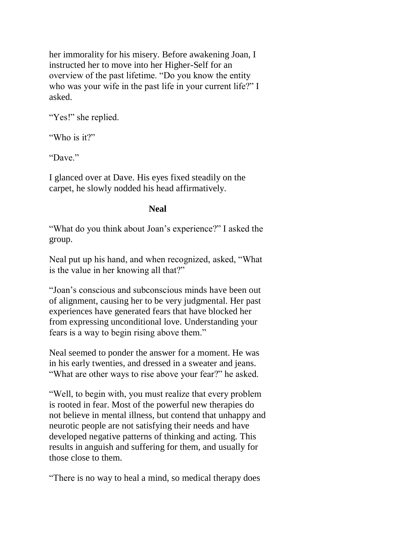her immorality for his misery. Before awakening Joan, I instructed her to move into her Higher-Self for an overview of the past lifetime. "Do you know the entity who was your wife in the past life in your current life?" I asked.

"Yes!" she replied.

"Who is it?"

"Dave."

I glanced over at Dave. His eyes fixed steadily on the carpet, he slowly nodded his head affirmatively.

## **Neal**

"What do you think about Joan's experience?" I asked the group.

Neal put up his hand, and when recognized, asked, "What is the value in her knowing all that?"

"Joan's conscious and subconscious minds have been out of alignment, causing her to be very judgmental. Her past experiences have generated fears that have blocked her from expressing unconditional love. Understanding your fears is a way to begin rising above them."

Neal seemed to ponder the answer for a moment. He was in his early twenties, and dressed in a sweater and jeans. "What are other ways to rise above your fear?" he asked.

"Well, to begin with, you must realize that every problem is rooted in fear. Most of the powerful new therapies do not believe in mental illness, but contend that unhappy and neurotic people are not satisfying their needs and have developed negative patterns of thinking and acting. This results in anguish and suffering for them, and usually for those close to them.

"There is no way to heal a mind, so medical therapy does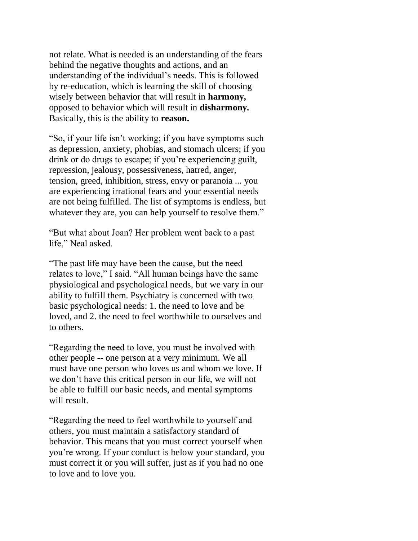not relate. What is needed is an understanding of the fears behind the negative thoughts and actions, and an understanding of the individual's needs. This is followed by re-education, which is learning the skill of choosing wisely between behavior that will result in **harmony,**  opposed to behavior which will result in **disharmony.**  Basically, this is the ability to **reason.**

"So, if your life isn't working; if you have symptoms such as depression, anxiety, phobias, and stomach ulcers; if you drink or do drugs to escape; if you're experiencing guilt, repression, jealousy, possessiveness, hatred, anger, tension, greed, inhibition, stress, envy or paranoia ... you are experiencing irrational fears and your essential needs are not being fulfilled. The list of symptoms is endless, but whatever they are, you can help yourself to resolve them."

"But what about Joan? Her problem went back to a past life," Neal asked.

"The past life may have been the cause, but the need relates to love," I said. "All human beings have the same physiological and psychological needs, but we vary in our ability to fulfill them. Psychiatry is concerned with two basic psychological needs: 1. the need to love and be loved, and 2. the need to feel worthwhile to ourselves and to others.

"Regarding the need to love, you must be involved with other people -- one person at a very minimum. We all must have one person who loves us and whom we love. If we don't have this critical person in our life, we will not be able to fulfill our basic needs, and mental symptoms will result.

"Regarding the need to feel worthwhile to yourself and others, you must maintain a satisfactory standard of behavior. This means that you must correct yourself when you're wrong. If your conduct is below your standard, you must correct it or you will suffer, just as if you had no one to love and to love you.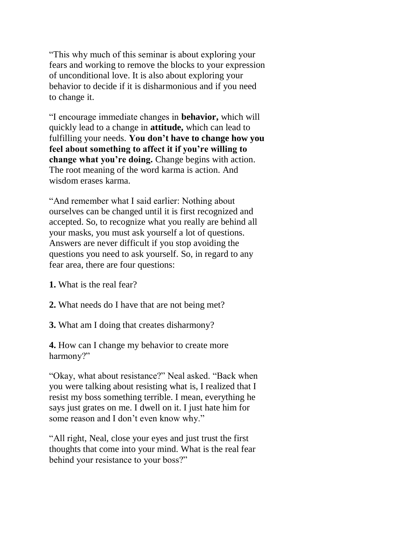"This why much of this seminar is about exploring your fears and working to remove the blocks to your expression of unconditional love. It is also about exploring your behavior to decide if it is disharmonious and if you need to change it.

"I encourage immediate changes in **behavior,** which will quickly lead to a change in **attitude,** which can lead to fulfilling your needs. **You don't have to change how you feel about something to affect it if you're willing to change what you're doing.** Change begins with action. The root meaning of the word karma is action. And wisdom erases karma.

"And remember what I said earlier: Nothing about ourselves can be changed until it is first recognized and accepted. So, to recognize what you really are behind all your masks, you must ask yourself a lot of questions. Answers are never difficult if you stop avoiding the questions you need to ask yourself. So, in regard to any fear area, there are four questions:

**1.** What is the real fear?

**2.** What needs do I have that are not being met?

**3.** What am I doing that creates disharmony?

**4.** How can I change my behavior to create more harmony?"

"Okay, what about resistance?" Neal asked. "Back when you were talking about resisting what is, I realized that I resist my boss something terrible. I mean, everything he says just grates on me. I dwell on it. I just hate him for some reason and I don't even know why."

"All right, Neal, close your eyes and just trust the first thoughts that come into your mind. What is the real fear behind your resistance to your boss?"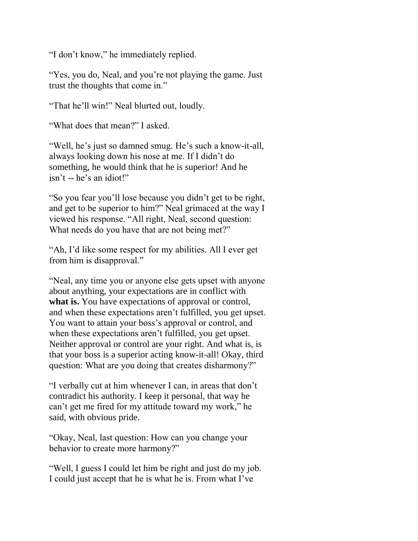"I don't know," he immediately replied.

"Yes, you do, Neal, and you're not playing the game. Just trust the thoughts that come in."

"That he'll win!" Neal blurted out, loudly.

"What does that mean?" I asked.

"Well, he's just so damned smug. He's such a know-it-all, always looking down his nose at me. If I didn't do something, he would think that he is superior! And he isn't -- he's an idiot!"

"So you fear you'll lose because you didn't get to be right, and get to be superior to him?" Neal grimaced at the way I viewed his response. "All right, Neal, second question: What needs do you have that are not being met?"

"Ah, I'd like some respect for my abilities. All I ever get from him is disapproval."

"Neal, any time you or anyone else gets upset with anyone about anything, your expectations are in conflict with **what is.** You have expectations of approval or control, and when these expectations aren't fulfilled, you get upset. You want to attain your boss's approval or control, and when these expectations aren't fulfilled, you get upset. Neither approval or control are your right. And what is, is that your boss is a superior acting know-it-all! Okay, third question: What are you doing that creates disharmony?"

"I verbally cut at him whenever I can, in areas that don't contradict his authority. I keep it personal, that way he can't get me fired for my attitude toward my work," he said, with obvious pride.

"Okay, Neal, last question: How can you change your behavior to create more harmony?"

"Well, I guess I could let him be right and just do my job. I could just accept that he is what he is. From what I've